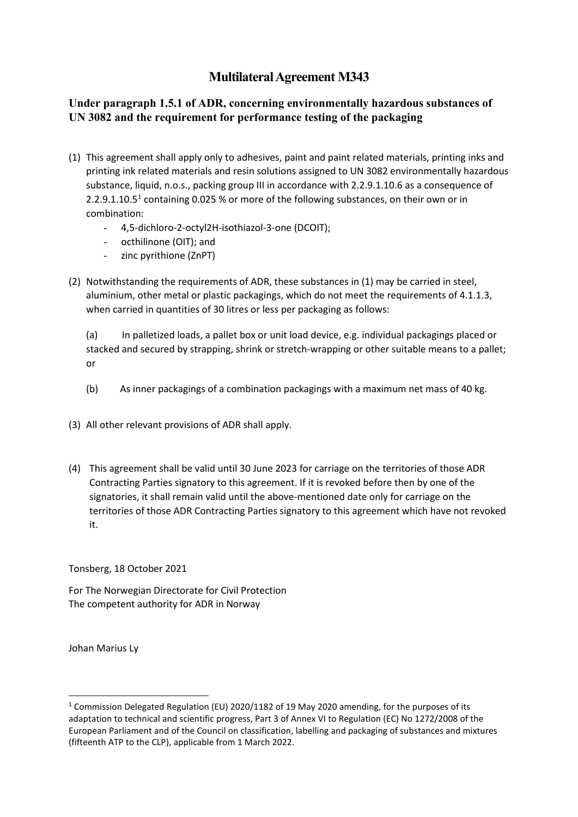## **Multilateral Agreement M343**

## **Under paragraph 1.5.1 of ADR, concerning environmentally hazardous substances of UN 3082 and the requirement for performance testing of the packaging**

- (1) This agreement shall apply only to adhesives, paint and paint related materials, printing inks and printing ink related materials and resin solutions assigned to UN 3082 environmentally hazardous substance, liquid, n.o.s., packing group III in accordance with 2.2.9.1.10.6 as a consequence of 2.2.9.[1](#page-0-0).10.5<sup>1</sup> containing 0.025 % or more of the following substances, on their own or in combination:
	- 4,5-dichloro-2-octyl2H-isothiazol-3-one (DCOIT);
	- octhilinone (OIT); and
	- zinc pyrithione (ZnPT)
- (2) Notwithstanding the requirements of ADR, these substances in (1) may be carried in steel, aluminium, other metal or plastic packagings, which do not meet the requirements of 4.1.1.3, when carried in quantities of 30 litres or less per packaging as follows:

(a) In palletized loads, a pallet box or unit load device, e.g. individual packagings placed or stacked and secured by strapping, shrink or stretch-wrapping or other suitable means to a pallet; or

- (b) As inner packagings of a combination packagings with a maximum net mass of 40 kg.
- (3) All other relevant provisions of ADR shall apply.
- (4) This agreement shall be valid until 30 June 2023 for carriage on the territories of those ADR Contracting Parties signatory to this agreement. If it is revoked before then by one of the signatories, it shall remain valid until the above-mentioned date only for carriage on the territories of those ADR Contracting Parties signatory to this agreement which have not revoked it.

Tonsberg, 18 October 2021

For The Norwegian Directorate for Civil Protection The competent authority for ADR in Norway

Johan Marius Ly

<span id="page-0-0"></span><sup>&</sup>lt;sup>1</sup> Commission Delegated Regulation (EU) 2020/1182 of 19 May 2020 amending, for the purposes of its adaptation to technical and scientific progress, Part 3 of Annex VI to Regulation (EC) No 1272/2008 of the European Parliament and of the Council on classification, labelling and packaging of substances and mixtures (fifteenth ATP to the CLP), applicable from 1 March 2022.